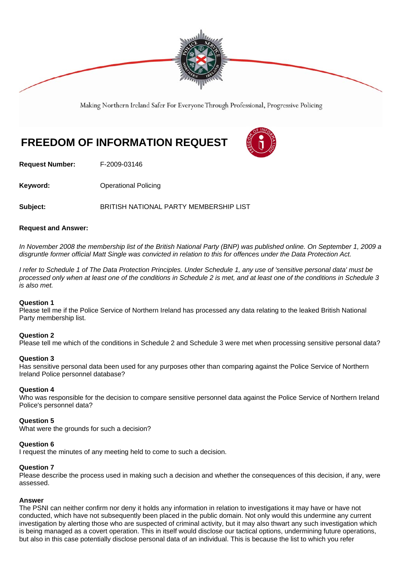

Making Northern Ireland Safer For Everyone Through Professional, Progressive Policing

# **FREEDOM OF INFORMATION REQUEST**



**Request Number:** F-2009-03146

**Keyword: Conservery Operational Policing** 

**Subject:** BRITISH NATIONAL PARTY MEMBERSHIP LIST

# **Request and Answer:**

*In November 2008 the membership list of the British National Party (BNP) was published online. On September 1, 2009 a disgruntle former official Matt Single was convicted in relation to this for offences under the Data Protection Act.* 

*I refer to Schedule 1 of The Data Protection Principles. Under Schedule 1, any use of 'sensitive personal data' must be processed only when at least one of the conditions in Schedule 2 is met, and at least one of the conditions in Schedule 3 is also met.* 

# **Question 1**

Please tell me if the Police Service of Northern Ireland has processed any data relating to the leaked British National Party membership list.

# **Question 2**

Please tell me which of the conditions in Schedule 2 and Schedule 3 were met when processing sensitive personal data?

#### **Question 3**

Has sensitive personal data been used for any purposes other than comparing against the Police Service of Northern Ireland Police personnel database?

# **Question 4**

Who was responsible for the decision to compare sensitive personnel data against the Police Service of Northern Ireland Police's personnel data?

# **Question 5**

What were the grounds for such a decision?

#### **Question 6**

I request the minutes of any meeting held to come to such a decision.

# **Question 7**

Please describe the process used in making such a decision and whether the consequences of this decision, if any, were assessed.

# **Answer**

The PSNI can neither confirm nor deny it holds any information in relation to investigations it may have or have not conducted, which have not subsequently been placed in the public domain. Not only would this undermine any current investigation by alerting those who are suspected of criminal activity, but it may also thwart any such investigation which is being managed as a covert operation. This in itself would disclose our tactical options, undermining future operations, but also in this case potentially disclose personal data of an individual. This is because the list to which you refer